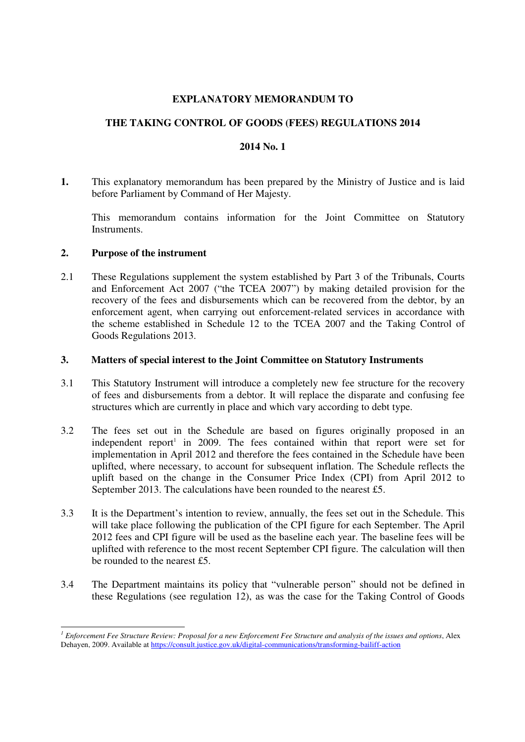### **EXPLANATORY MEMORANDUM TO**

## **THE TAKING CONTROL OF GOODS (FEES) REGULATIONS 2014**

#### **2014 No. 1**

**1.** This explanatory memorandum has been prepared by the Ministry of Justice and is laid before Parliament by Command of Her Majesty.

This memorandum contains information for the Joint Committee on Statutory **Instruments** 

#### **2. Purpose of the instrument**

2.1 These Regulations supplement the system established by Part 3 of the Tribunals, Courts and Enforcement Act 2007 ("the TCEA 2007") by making detailed provision for the recovery of the fees and disbursements which can be recovered from the debtor, by an enforcement agent, when carrying out enforcement-related services in accordance with the scheme established in Schedule 12 to the TCEA 2007 and the Taking Control of Goods Regulations 2013.

#### **3. Matters of special interest to the Joint Committee on Statutory Instruments**

- 3.1 This Statutory Instrument will introduce a completely new fee structure for the recovery of fees and disbursements from a debtor. It will replace the disparate and confusing fee structures which are currently in place and which vary according to debt type.
- 3.2 The fees set out in the Schedule are based on figures originally proposed in an independent report<sup>1</sup> in 2009. The fees contained within that report were set for implementation in April 2012 and therefore the fees contained in the Schedule have been uplifted, where necessary, to account for subsequent inflation. The Schedule reflects the uplift based on the change in the Consumer Price Index (CPI) from April 2012 to September 2013. The calculations have been rounded to the nearest £5.
- 3.3 It is the Department's intention to review, annually, the fees set out in the Schedule. This will take place following the publication of the CPI figure for each September. The April 2012 fees and CPI figure will be used as the baseline each year. The baseline fees will be uplifted with reference to the most recent September CPI figure. The calculation will then be rounded to the nearest £5.
- 3.4 The Department maintains its policy that "vulnerable person" should not be defined in these Regulations (see regulation 12), as was the case for the Taking Control of Goods

 $\overline{a}$ *1 Enforcement Fee Structure Review: Proposal for a new Enforcement Fee Structure and analysis of the issues and options*, Alex Dehayen, 2009. Available at https://consult.justice.gov.uk/digital-communications/transforming-bailiff-action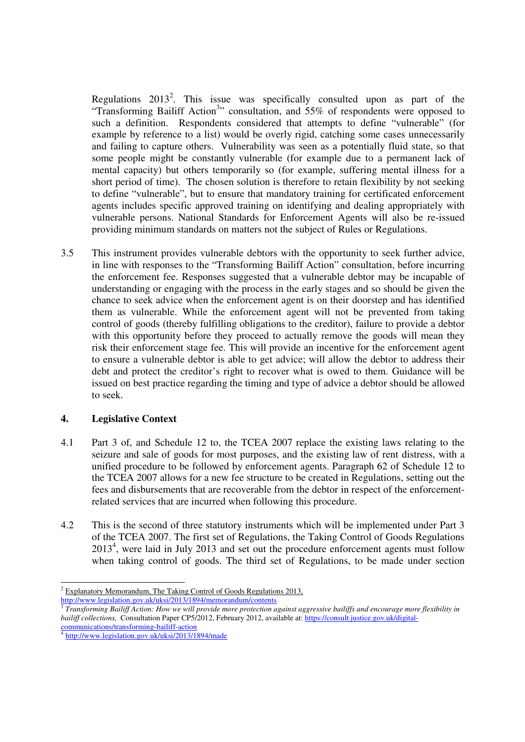Regulations  $2013^2$ . This issue was specifically consulted upon as part of the "Transforming Bailiff Action<sup>3</sup>" consultation, and 55% of respondents were opposed to such a definition. Respondents considered that attempts to define "vulnerable" (for example by reference to a list) would be overly rigid, catching some cases unnecessarily and failing to capture others. Vulnerability was seen as a potentially fluid state, so that some people might be constantly vulnerable (for example due to a permanent lack of mental capacity) but others temporarily so (for example, suffering mental illness for a short period of time). The chosen solution is therefore to retain flexibility by not seeking to define "vulnerable", but to ensure that mandatory training for certificated enforcement agents includes specific approved training on identifying and dealing appropriately with vulnerable persons. National Standards for Enforcement Agents will also be re-issued providing minimum standards on matters not the subject of Rules or Regulations.

3.5 This instrument provides vulnerable debtors with the opportunity to seek further advice, in line with responses to the "Transforming Bailiff Action" consultation, before incurring the enforcement fee. Responses suggested that a vulnerable debtor may be incapable of understanding or engaging with the process in the early stages and so should be given the chance to seek advice when the enforcement agent is on their doorstep and has identified them as vulnerable. While the enforcement agent will not be prevented from taking control of goods (thereby fulfilling obligations to the creditor), failure to provide a debtor with this opportunity before they proceed to actually remove the goods will mean they risk their enforcement stage fee. This will provide an incentive for the enforcement agent to ensure a vulnerable debtor is able to get advice; will allow the debtor to address their debt and protect the creditor's right to recover what is owed to them. Guidance will be issued on best practice regarding the timing and type of advice a debtor should be allowed to seek.

### **4. Legislative Context**

- 4.1 Part 3 of, and Schedule 12 to, the TCEA 2007 replace the existing laws relating to the seizure and sale of goods for most purposes, and the existing law of rent distress, with a unified procedure to be followed by enforcement agents. Paragraph 62 of Schedule 12 to the TCEA 2007 allows for a new fee structure to be created in Regulations, setting out the fees and disbursements that are recoverable from the debtor in respect of the enforcementrelated services that are incurred when following this procedure.
- 4.2 This is the second of three statutory instruments which will be implemented under Part 3 of the TCEA 2007. The first set of Regulations, the Taking Control of Goods Regulations 2013<sup>4</sup>, were laid in July 2013 and set out the procedure enforcement agents must follow when taking control of goods. The third set of Regulations, to be made under section

<sup>1</sup>  $2 \text{ Explanatory Memorandum}$ , The Taking Control of Goods Regulations 2013, http://www.legislation.gov.uk/uksi/2013/1894/memorandum/contents

<sup>3</sup> *Transforming Bailiff Action: How we will provide more protection against aggressive bailiffs and encourage more flexibility in bailiff collections,* Consultation Paper CP5/2012, February 2012, available at: https://consult.justice.gov.uk/digital-

communications/transforming-bailiff-action<br>
<sup>4</sup> http://www.legiclotion.gov.uk/uksi/2013/15 http://www.legislation.gov.uk/uksi/2013/1894/made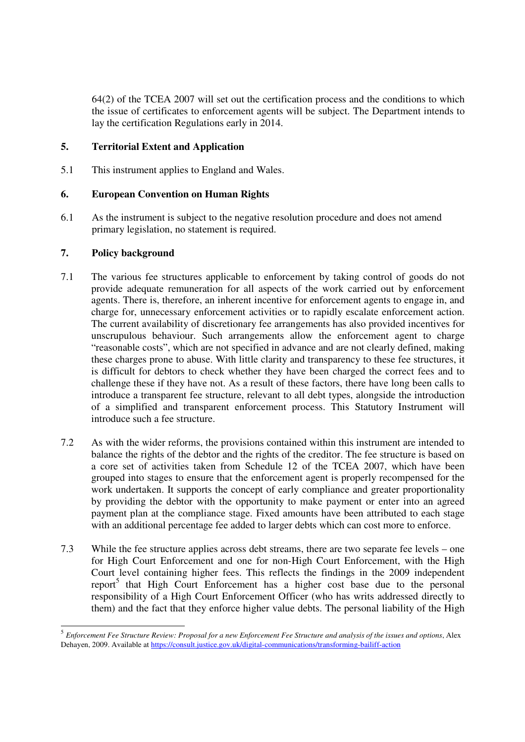64(2) of the TCEA 2007 will set out the certification process and the conditions to which the issue of certificates to enforcement agents will be subject. The Department intends to lay the certification Regulations early in 2014.

### **5. Territorial Extent and Application**

5.1 This instrument applies to England and Wales.

### **6. European Convention on Human Rights**

6.1 As the instrument is subject to the negative resolution procedure and does not amend primary legislation, no statement is required.

### **7. Policy background**

 $\overline{a}$ 

- 7.1 The various fee structures applicable to enforcement by taking control of goods do not provide adequate remuneration for all aspects of the work carried out by enforcement agents. There is, therefore, an inherent incentive for enforcement agents to engage in, and charge for, unnecessary enforcement activities or to rapidly escalate enforcement action. The current availability of discretionary fee arrangements has also provided incentives for unscrupulous behaviour. Such arrangements allow the enforcement agent to charge "reasonable costs", which are not specified in advance and are not clearly defined, making these charges prone to abuse. With little clarity and transparency to these fee structures, it is difficult for debtors to check whether they have been charged the correct fees and to challenge these if they have not. As a result of these factors, there have long been calls to introduce a transparent fee structure, relevant to all debt types, alongside the introduction of a simplified and transparent enforcement process. This Statutory Instrument will introduce such a fee structure.
- 7.2 As with the wider reforms, the provisions contained within this instrument are intended to balance the rights of the debtor and the rights of the creditor. The fee structure is based on a core set of activities taken from Schedule 12 of the TCEA 2007, which have been grouped into stages to ensure that the enforcement agent is properly recompensed for the work undertaken. It supports the concept of early compliance and greater proportionality by providing the debtor with the opportunity to make payment or enter into an agreed payment plan at the compliance stage. Fixed amounts have been attributed to each stage with an additional percentage fee added to larger debts which can cost more to enforce.
- 7.3 While the fee structure applies across debt streams, there are two separate fee levels one for High Court Enforcement and one for non-High Court Enforcement, with the High Court level containing higher fees. This reflects the findings in the 2009 independent report<sup>5</sup> that High Court Enforcement has a higher cost base due to the personal responsibility of a High Court Enforcement Officer (who has writs addressed directly to them) and the fact that they enforce higher value debts. The personal liability of the High

<sup>5</sup> *Enforcement Fee Structure Review: Proposal for a new Enforcement Fee Structure and analysis of the issues and options*, Alex Dehayen, 2009. Available at https://consult.justice.gov.uk/digital-communications/transforming-bailiff-action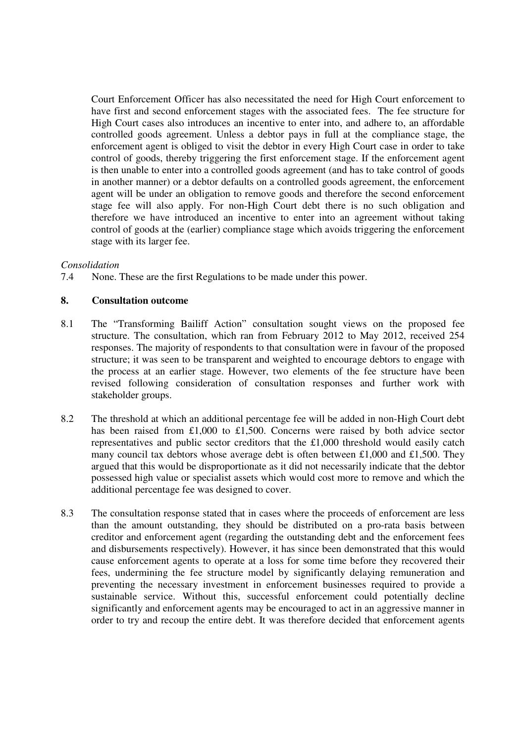Court Enforcement Officer has also necessitated the need for High Court enforcement to have first and second enforcement stages with the associated fees. The fee structure for High Court cases also introduces an incentive to enter into, and adhere to, an affordable controlled goods agreement. Unless a debtor pays in full at the compliance stage, the enforcement agent is obliged to visit the debtor in every High Court case in order to take control of goods, thereby triggering the first enforcement stage. If the enforcement agent is then unable to enter into a controlled goods agreement (and has to take control of goods in another manner) or a debtor defaults on a controlled goods agreement, the enforcement agent will be under an obligation to remove goods and therefore the second enforcement stage fee will also apply. For non-High Court debt there is no such obligation and therefore we have introduced an incentive to enter into an agreement without taking control of goods at the (earlier) compliance stage which avoids triggering the enforcement stage with its larger fee.

#### *Consolidation*

7.4 None. These are the first Regulations to be made under this power.

### **8. Consultation outcome**

- 8.1 The "Transforming Bailiff Action" consultation sought views on the proposed fee structure. The consultation, which ran from February 2012 to May 2012, received 254 responses. The majority of respondents to that consultation were in favour of the proposed structure; it was seen to be transparent and weighted to encourage debtors to engage with the process at an earlier stage. However, two elements of the fee structure have been revised following consideration of consultation responses and further work with stakeholder groups.
- 8.2 The threshold at which an additional percentage fee will be added in non-High Court debt has been raised from £1,000 to £1,500. Concerns were raised by both advice sector representatives and public sector creditors that the £1,000 threshold would easily catch many council tax debtors whose average debt is often between £1,000 and £1,500. They argued that this would be disproportionate as it did not necessarily indicate that the debtor possessed high value or specialist assets which would cost more to remove and which the additional percentage fee was designed to cover.
- 8.3 The consultation response stated that in cases where the proceeds of enforcement are less than the amount outstanding, they should be distributed on a pro-rata basis between creditor and enforcement agent (regarding the outstanding debt and the enforcement fees and disbursements respectively). However, it has since been demonstrated that this would cause enforcement agents to operate at a loss for some time before they recovered their fees, undermining the fee structure model by significantly delaying remuneration and preventing the necessary investment in enforcement businesses required to provide a sustainable service. Without this, successful enforcement could potentially decline significantly and enforcement agents may be encouraged to act in an aggressive manner in order to try and recoup the entire debt. It was therefore decided that enforcement agents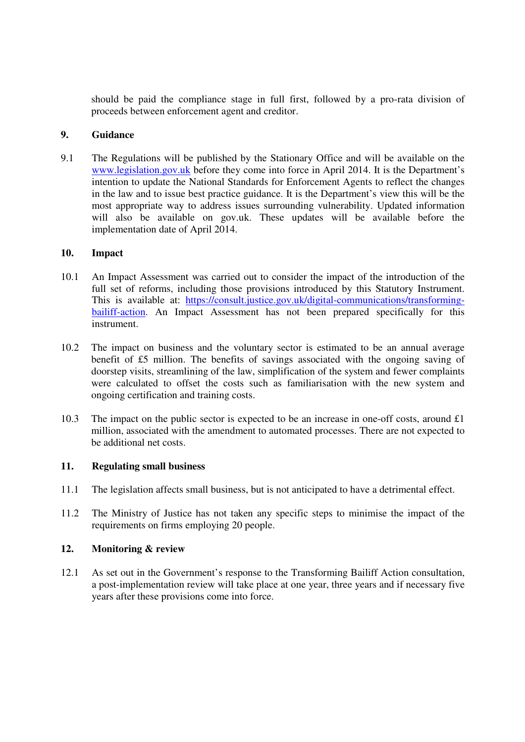should be paid the compliance stage in full first, followed by a pro-rata division of proceeds between enforcement agent and creditor.

#### **9. Guidance**

9.1 The Regulations will be published by the Stationary Office and will be available on the www.legislation.gov.uk before they come into force in April 2014. It is the Department's intention to update the National Standards for Enforcement Agents to reflect the changes in the law and to issue best practice guidance. It is the Department's view this will be the most appropriate way to address issues surrounding vulnerability. Updated information will also be available on gov.uk. These updates will be available before the implementation date of April 2014.

### **10. Impact**

- 10.1 An Impact Assessment was carried out to consider the impact of the introduction of the full set of reforms, including those provisions introduced by this Statutory Instrument. This is available at: https://consult.justice.gov.uk/digital-communications/transformingbailiff-action. An Impact Assessment has not been prepared specifically for this instrument.
- 10.2 The impact on business and the voluntary sector is estimated to be an annual average benefit of £5 million. The benefits of savings associated with the ongoing saving of doorstep visits, streamlining of the law, simplification of the system and fewer complaints were calculated to offset the costs such as familiarisation with the new system and ongoing certification and training costs.
- 10.3 The impact on the public sector is expected to be an increase in one-off costs, around £1 million, associated with the amendment to automated processes. There are not expected to be additional net costs.

### **11. Regulating small business**

- 11.1 The legislation affects small business, but is not anticipated to have a detrimental effect.
- 11.2 The Ministry of Justice has not taken any specific steps to minimise the impact of the requirements on firms employing 20 people.

### **12. Monitoring & review**

12.1 As set out in the Government's response to the Transforming Bailiff Action consultation, a post-implementation review will take place at one year, three years and if necessary five years after these provisions come into force.